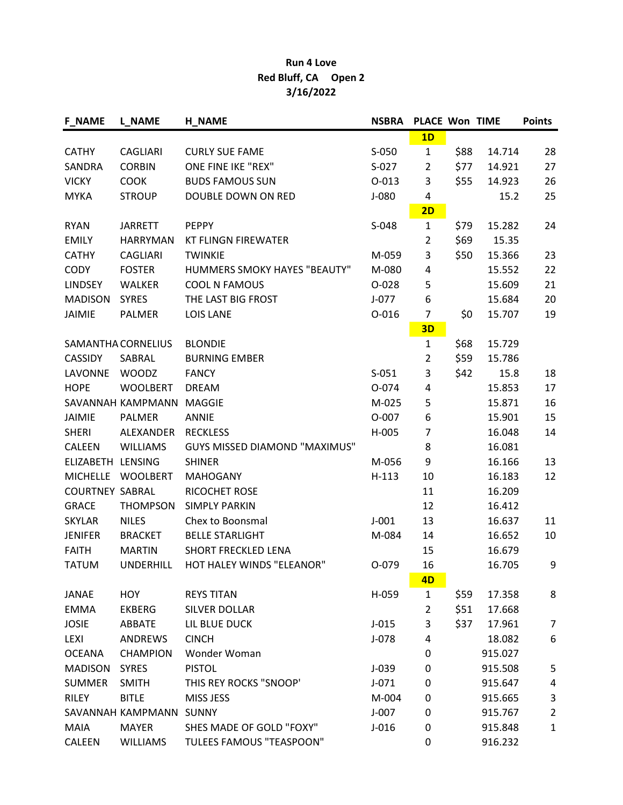## Run 4 Love Red Bluff, CA Open 2 3/16/2022

| <b>F_NAME</b>          | <b>L_NAME</b>           | <b>H_NAME</b>                        | <b>NSBRA</b> | <b>PLACE Won TIME</b> |      |         | <b>Points</b>  |
|------------------------|-------------------------|--------------------------------------|--------------|-----------------------|------|---------|----------------|
|                        |                         |                                      |              | 1D                    |      |         |                |
| <b>CATHY</b>           | <b>CAGLIARI</b>         | <b>CURLY SUE FAME</b>                | S-050        | $\mathbf{1}$          | \$88 | 14.714  | 28             |
| SANDRA                 | <b>CORBIN</b>           | ONE FINE IKE "REX"                   | $S-027$      | $\overline{2}$        | \$77 | 14.921  | 27             |
| <b>VICKY</b>           | <b>COOK</b>             | <b>BUDS FAMOUS SUN</b>               | $0 - 013$    | 3                     | \$55 | 14.923  | 26             |
| <b>MYKA</b>            | <b>STROUP</b>           | DOUBLE DOWN ON RED                   | $J-080$      | 4                     |      | 15.2    | 25             |
|                        |                         |                                      |              | 2D                    |      |         |                |
| <b>RYAN</b>            | <b>JARRETT</b>          | <b>PEPPY</b>                         | S-048        | 1                     | \$79 | 15.282  | 24             |
| <b>EMILY</b>           | <b>HARRYMAN</b>         | <b>KT FLINGN FIREWATER</b>           |              | $\overline{2}$        | \$69 | 15.35   |                |
| <b>CATHY</b>           | <b>CAGLIARI</b>         | <b>TWINKIE</b>                       | M-059        | 3                     | \$50 | 15.366  | 23             |
| <b>CODY</b>            | <b>FOSTER</b>           | HUMMERS SMOKY HAYES "BEAUTY"         | M-080        | 4                     |      | 15.552  | 22             |
| <b>LINDSEY</b>         | WALKER                  | COOL N FAMOUS                        | O-028        | 5                     |      | 15.609  | 21             |
| <b>MADISON</b>         | <b>SYRES</b>            | THE LAST BIG FROST                   | $J-077$      | 6                     |      | 15.684  | 20             |
| <b>JAIMIE</b>          | <b>PALMER</b>           | <b>LOIS LANE</b>                     | $O - 016$    | 7                     | \$0  | 15.707  | 19             |
|                        |                         |                                      |              | 3D                    |      |         |                |
|                        | SAMANTHA CORNELIUS      | <b>BLONDIE</b>                       |              | $\mathbf{1}$          | \$68 | 15.729  |                |
| <b>CASSIDY</b>         | SABRAL                  | <b>BURNING EMBER</b>                 |              | 2                     | \$59 | 15.786  |                |
| LAVONNE                | <b>WOODZ</b>            | <b>FANCY</b>                         | $S-051$      | 3                     | \$42 | 15.8    | 18             |
| <b>HOPE</b>            | <b>WOOLBERT</b>         | <b>DREAM</b>                         | O-074        | 4                     |      | 15.853  | 17             |
|                        | SAVANNAH KAMPMANN       | <b>MAGGIE</b>                        | M-025        | 5                     |      | 15.871  | 16             |
| <b>JAIMIE</b>          | <b>PALMER</b>           | <b>ANNIE</b>                         | O-007        | 6                     |      | 15.901  | 15             |
| <b>SHERI</b>           | ALEXANDER               | <b>RECKLESS</b>                      | H-005        | 7                     |      | 16.048  | 14             |
| <b>CALEEN</b>          | <b>WILLIAMS</b>         | <b>GUYS MISSED DIAMOND "MAXIMUS"</b> |              | 8                     |      | 16.081  |                |
| ELIZABETH LENSING      |                         | <b>SHINER</b>                        | M-056        | 9                     |      | 16.166  | 13             |
| <b>MICHELLE</b>        | <b>WOOLBERT</b>         | <b>MAHOGANY</b>                      | $H-113$      | 10                    |      | 16.183  | 12             |
| <b>COURTNEY SABRAL</b> |                         | RICOCHET ROSE                        |              | 11                    |      | 16.209  |                |
| <b>GRACE</b>           | <b>THOMPSON</b>         | <b>SIMPLY PARKIN</b>                 |              | 12                    |      | 16.412  |                |
| <b>SKYLAR</b>          | <b>NILES</b>            | Chex to Boonsmal                     | $J-001$      | 13                    |      | 16.637  | 11             |
| <b>JENIFER</b>         | <b>BRACKET</b>          | <b>BELLE STARLIGHT</b>               | M-084        | 14                    |      | 16.652  | 10             |
| <b>FAITH</b>           | <b>MARTIN</b>           | <b>SHORT FRECKLED LENA</b>           |              | 15                    |      | 16.679  |                |
| <b>TATUM</b>           | <b>UNDERHILL</b>        | HOT HALEY WINDS "ELEANOR"            | 0-079        | 16                    |      | 16.705  | 9              |
|                        |                         |                                      |              | 4D                    |      |         |                |
| JANAE                  | <b>HOY</b>              | <b>REYS TITAN</b>                    | H-059        | $\mathbf{1}$          | \$59 | 17.358  | 8              |
| <b>EMMA</b>            | <b>EKBERG</b>           | SILVER DOLLAR                        |              | $\overline{2}$        | \$51 | 17.668  |                |
| <b>JOSIE</b>           | ABBATE                  | LIL BLUE DUCK                        | $J-015$      | 3                     | \$37 | 17.961  | $\overline{7}$ |
| LEXI                   | <b>ANDREWS</b>          | <b>CINCH</b>                         | J-078        | 4                     |      | 18.082  | 6              |
| <b>OCEANA</b>          | <b>CHAMPION</b>         | Wonder Woman                         |              | 0                     |      | 915.027 |                |
| <b>MADISON</b>         | <b>SYRES</b>            | <b>PISTOL</b>                        | $J-039$      | 0                     |      | 915.508 | 5              |
| <b>SUMMER</b>          | <b>SMITH</b>            | THIS REY ROCKS "SNOOP"               | $J - 071$    | 0                     |      | 915.647 | 4              |
| <b>RILEY</b>           | <b>BITLE</b>            | MISS JESS                            | M-004        | 0                     |      | 915.665 | 3              |
|                        | SAVANNAH KAMPMANN SUNNY |                                      | $J-007$      | 0                     |      | 915.767 | $\overline{2}$ |
| MAIA                   | <b>MAYER</b>            | SHES MADE OF GOLD "FOXY"             | $J-016$      | 0                     |      | 915.848 | $\mathbf{1}$   |
| CALEEN                 | <b>WILLIAMS</b>         | <b>TULEES FAMOUS "TEASPOON"</b>      |              | 0                     |      | 916.232 |                |